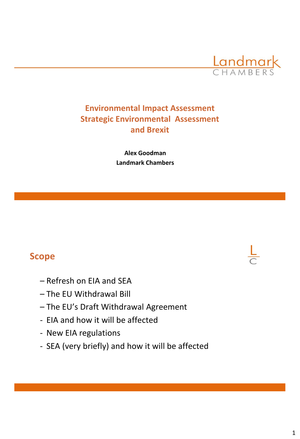

# **Environmental Impact Assessment Strategic Environmental Assessment and Brexit**

**Alex Goodman Landmark Chambers**

# **Scope**

- Refresh on EIA and SEA
- The EU Withdrawal Bill
- The EU's Draft Withdrawal Agreement
- EIA and how it will be affected
- New EIA regulations
- SEA (very briefly) and how it will be affected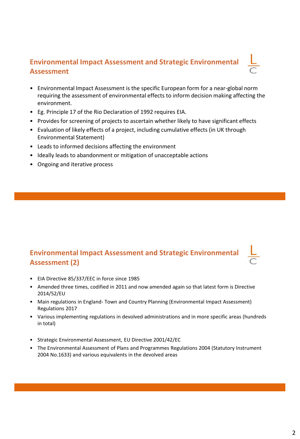# **Environmental Impact Assessment and Strategic Environmental Assessment**

- Environmental Impact Assessment is the specific European form for a near-global norm requiring the assessment of environmental effects to inform decision making affecting the environment.
- Eg. Principle 17 of the Rio Declaration of 1992 requires EIA.
- Provides for screening of projects to ascertain whether likely to have significant effects
- Evaluation of likely effects of a project, including cumulative effects (in UK through Environmental Statement)
- Leads to informed decisions affecting the environment
- Ideally leads to abandonment or mitigation of unacceptable actions
- Ongoing and iterative process

## **Environmental Impact Assessment and Strategic Environmental Assessment (2)**

- EIA Directive 85/337/EEC in force since 1985
- Amended three times, codified in 2011 and now amended again so that latest form is Directive 2014/52/EU
- Main regulations in England- Town and Country Planning (Environmental Impact Assessment) Regulations 2017
- Various implementing regulations in devolved administrations and in more specific areas (hundreds in total)
- Strategic Environmental Assessment, EU Directive 2001/42/EC
- The Environmental Assessment of Plans and Programmes Regulations 2004 (Statutory Instrument 2004 No.1633) and various equivalents in the devolved areas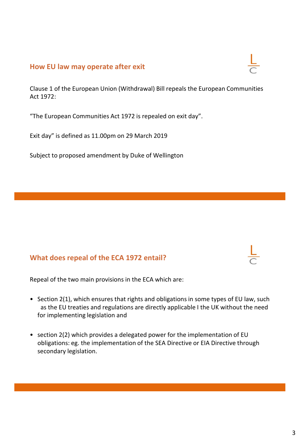### **How EU law may operate after exit**

Clause 1 of the European Union (Withdrawal) Bill repeals the European Communities Act 1972:

"The European Communities Act 1972 is repealed on exit day".

Exit day" is defined as 11.00pm on 29 March 2019

Subject to proposed amendment by Duke of Wellington

### **What does repeal of the ECA 1972 entail?**

Repeal of the two main provisions in the ECA which are:

- Section 2(1), which ensures that rights and obligations in some types of EU law, such as the EU treaties and regulations are directly applicable I the UK without the need for implementing legislation and
- section 2(2) which provides a delegated power for the implementation of EU obligations: eg. the implementation of the SEA Directive or EIA Directive through secondary legislation.

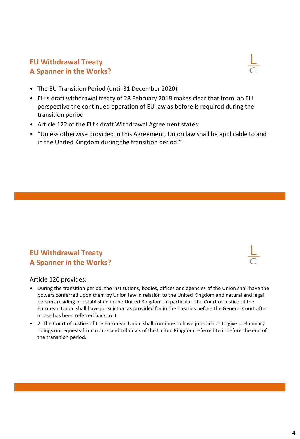### **EU Withdrawal Treaty A Spanner in the Works?**

- The EU Transition Period (until 31 December 2020)
- EU's draft withdrawal treaty of 28 February 2018 makes clear that from an EU perspective the continued operation of EU law as before is required during the transition period
- Article 122 of the EU's draft Withdrawal Agreement states:
- "Unless otherwise provided in this Agreement, Union law shall be applicable to and in the United Kingdom during the transition period."

## **EU Withdrawal Treaty A Spanner in the Works?**

### Article 126 provides:

- During the transition period, the institutions, bodies, offices and agencies of the Union shall have the powers conferred upon them by Union law in relation to the United Kingdom and natural and legal persons residing or established in the United Kingdom. In particular, the Court of Justice of the European Union shall have jurisdiction as provided for in the Treaties before the General Court after a case has been referred back to it.
- 2. The Court of Justice of the European Union shall continue to have jurisdiction to give preliminary rulings on requests from courts and tribunals of the United Kingdom referred to it before the end of the transition period.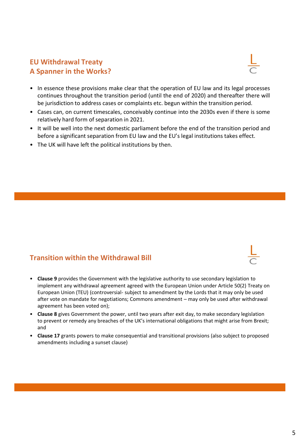## **EU Withdrawal Treaty A Spanner in the Works?**



- In essence these provisions make clear that the operation of EU law and its legal processes continues throughout the transition period (until the end of 2020) and thereafter there will be jurisdiction to address cases or complaints etc. begun within the transition period.
- Cases can, on current timescales, conceivably continue into the 2030s even if there is some relatively hard form of separation in 2021.
- It will be well into the next domestic parliament before the end of the transition period and before a significant separation from EU law and the EU's legal institutions takes effect.
- The UK will have left the political institutions by then.

### **Transition within the Withdrawal Bill**

- **Clause 9** provides the Government with the legislative authority to use secondary legislation to implement any withdrawal agreement agreed with the European Union under Article 50(2) Treaty on European Union (TEU) (controversial- subject to amendment by the Lords that it may only be used after vote on mandate for negotiations; Commons amendment – may only be used after withdrawal agreement has been voted on);
- **Clause 8** gives Government the power, until two years after exit day, to make secondary legislation to prevent or remedy any breaches of the UK's international obligations that might arise from Brexit; and
- **Clause 17** grants powers to make consequential and transitional provisions (also subject to proposed amendments including a sunset clause)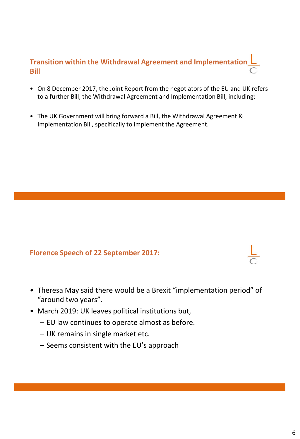# **Transition within the Withdrawal Agreement and Implementation Bill**

- On 8 December 2017, the Joint Report from the negotiators of the EU and UK refers to a further Bill, the Withdrawal Agreement and Implementation Bill, including:
- The UK Government will bring forward a Bill, the Withdrawal Agreement & Implementation Bill, specifically to implement the Agreement.

## **Florence Speech of 22 September 2017:**

- Theresa May said there would be a Brexit "implementation period" of "around two years".
- March 2019: UK leaves political institutions but,
	- EU law continues to operate almost as before.
	- UK remains in single market etc.
	- Seems consistent with the EU's approach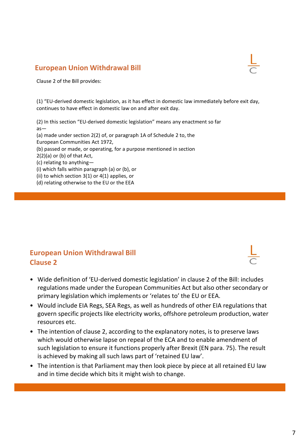### **European Union Withdrawal Bill**

Clause 2 of the Bill provides:

(1) "EU-derived domestic legislation, as it has effect in domestic law immediately before exit day, continues to have effect in domestic law on and after exit day.

(2) In this section "EU-derived domestic legislation" means any enactment so far as— (a) made under section 2(2) of, or paragraph 1A of Schedule 2 to, the European Communities Act 1972, (b) passed or made, or operating, for a purpose mentioned in section 2(2)(a) or (b) of that Act, (c) relating to anything— (i) which falls within paragraph (a) or (b), or

(ii) to which section 3(1) or 4(1) applies, or

(d) relating otherwise to the EU or the EEA

### **European Union Withdrawal Bill Clause 2**

- Wide definition of 'EU-derived domestic legislation' in clause 2 of the Bill: includes regulations made under the European Communities Act but also other secondary or primary legislation which implements or 'relates to' the EU or EEA.
- Would include EIA Regs, SEA Regs, as well as hundreds of other EIA regulations that govern specific projects like electricity works, offshore petroleum production, water resources etc.
- The intention of clause 2, according to the explanatory notes, is to preserve laws which would otherwise lapse on repeal of the ECA and to enable amendment of such legislation to ensure it functions properly after Brexit (EN para. 75). The result is achieved by making all such laws part of 'retained EU law'.
- The intention is that Parliament may then look piece by piece at all retained EU law and in time decide which bits it might wish to change.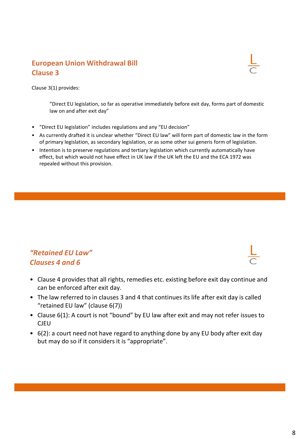### **European Union Withdrawal Bill Clause 3**

Clause 3(1) provides:

"Direct EU legislation, so far as operative immediately before exit day, forms part of domestic law on and after exit day"

- "Direct EU legislation" includes regulations and any "EU decision"
- As currently drafted it is unclear whether "Direct EU law" will form part of domestic law in the form of primary legislation, as secondary legislation, or as some other sui generis form of legislation.
- Intention is to preserve regulations and tertiary legislation which currently automatically have effect, but which would not have effect in UK law if the UK left the EU and the ECA 1972 was repealed without this provision.

## *"Retained EU Law" Clauses 4 and 6*

- Clause 4 provides that all rights, remedies etc. existing before exit day continue and can be enforced after exit day.
- The law referred to in clauses 3 and 4 that continues its life after exit day is called "retained EU law" (clause 6(7))
- Clause 6(1): A court is not "bound" by EU law after exit and may not refer issues to CJEU
- 6(2): a court need not have regard to anything done by any EU body after exit day but may do so if it considers it is "appropriate".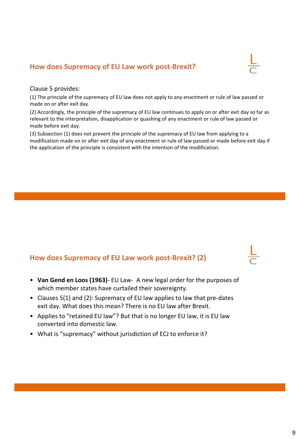## **How does Supremacy of EU Law work post-Brexit?**

Clause 5 provides:

(1) The principle of the supremacy of EU law does not apply to any enactment or rule of law passed or made on or after exit day.

(2) Accordingly, the principle of the supremacy of EU law continues to apply on or after exit day so far as relevant to the interpretation, disapplication or quashing of any enactment or rule of law passed or made before exit day.

(3) Subsection (1) does not prevent the principle of the supremacy of EU law from applying to a modification made on or after exit day of any enactment or rule of law passed or made before exit day if the application of the principle is consistent with the intention of the modification.

## **How does Supremacy of EU Law work post-Brexit? (2)**

- **Van Gend en Loos (1963)** EU Law- A new legal order for the purposes of which member states have curtailed their sovereignty.
- Clauses 5(1) and (2): Supremacy of EU law applies to law that pre-dates exit day. What does this mean? There is no EU law after Brexit.
- Applies to "retained EU law"? But that is no longer EU law, it is EU law converted into domestic law.
- What is "supremacy" without jurisdiction of ECJ to enforce it?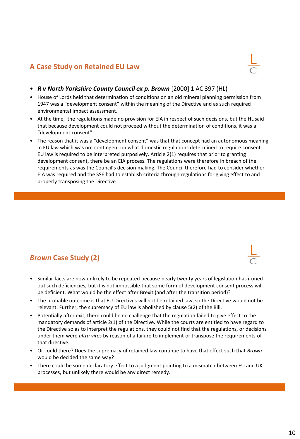### **A Case Study on Retained EU Law**



- *R v North Yorkshire County Council ex p. Brown* [2000] 1 AC 397 (HL)
- House of Lords held that determination of conditions on an old mineral planning permission from 1947 was a "development consent" within the meaning of the Directive and as such required environmental impact assessment.
- At the time, the regulations made no provision for EIA in respect of such decisions, but the HL said that because development could not proceed without the determination of conditions, it was a "development consent".
- The reason that it was a "development consent" was that that concept had an autonomous meaning in EU law which was not contingent on what domestic regulations determined to require consent. EU law is required to be interpreted purposively. Article 2(1) requires that prior to granting development consent, there be an EIA process. The regulations were therefore in breach of the requirements as was the Council's decision making. The Council therefore had to consider whether EIA was required and the SSE had to establish criteria through regulations for giving effect to and properly transposing the Directive.

## *Brown* **Case Study (2)**

- Similar facts are now unlikely to be repeated because nearly twenty years of legislation has ironed out such deficiencies, but it is not impossible that some form of development consent process will be deficient. What would be the effect after Brexit (and after the transition period)?
- The probable outcome is that EU Directives will not be retained law, so the Directive would not be relevant. Further, the supremacy of EU law is abolished by clause 5(2) of the Bill.
- Potentially after exit, there could be no challenge that the regulation failed to give effect to the mandatory demands of article 2(1) of the Directive. While the courts are entitled to have regard to the Directive so as to interpret the regulations, they could not find that the regulations, or decisions under them were *ultra vires* by reason of a failure to implement or transpose the requirements of that directive.
- Or could there? Does the supremacy of retained law continue to have that effect such that *Brown*  would be decided the same way?
- There could be some declaratory effect to a judgment pointing to a mismatch between EU and UK processes, but unlikely there would be any direct remedy.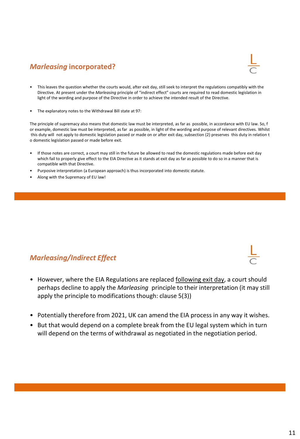## *Marleasing* **incorporated?**



- This leaves the question whether the courts would, after exit day, still seek to interpret the regulations compatibly with the Directive. At present under the *Marleasing* principle of "indirect effect" courts are required to read domestic legislation in light of the wording and purpose of the Directive in order to achieve the intended result of the Directive.
- The explanatory notes to the Withdrawal Bill state at 97:

The principle of supremacy also means that domestic law must be interpreted, as far as possible, in accordance with EU law. So, f or example, domestic law must be interpreted, as far as possible, in light of the wording and purpose of relevant directives. Whilst this duty will not apply to domestic legislation passed or made on or after exit day, subsection (2) preserves this duty in relation t o domestic legislation passed or made before exit.

- If those notes are correct, a court may still in the future be allowed to read the domestic regulations made before exit day which fail to properly give effect to the EIA Directive as it stands at exit day as far as possible to do so in a manner that is compatible with that Directive.
- Purposive interpretation (a European approach) is thus incorporated into domestic statute.
- Along with the Supremacy of EU law!

### *Marleasing/Indirect Effect*

- However, where the EIA Regulations are replaced **following exit day**, a court should perhaps decline to apply the *Marleasing* principle to their interpretation (it may still apply the principle to modifications though: clause 5(3))
- Potentially therefore from 2021, UK can amend the EIA process in any way it wishes.
- But that would depend on a complete break from the EU legal system which in turn will depend on the terms of withdrawal as negotiated in the negotiation period.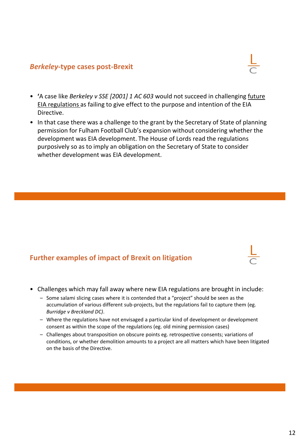### *Berkeley***-type cases post-Brexit**

- **'**A case like *Berkeley v SSE [2001] 1 AC 603* would not succeed in challenging future EIA regulations as failing to give effect to the purpose and intention of the EIA Directive.
- In that case there was a challenge to the grant by the Secretary of State of planning permission for Fulham Football Club's expansion without considering whether the development was EIA development. The House of Lords read the regulations purposively so as to imply an obligation on the Secretary of State to consider whether development was EIA development.

### **Further examples of impact of Brexit on litigation**

- Challenges which may fall away where new EIA regulations are brought in include:
	- Some salami slicing cases where it is contended that a "project" should be seen as the accumulation of various different sub-projects, but the regulations fail to capture them (eg. *Burridge v Breckland DC)*.
	- Where the regulations have not envisaged a particular kind of development or development consent as within the scope of the regulations (eg. old mining permission cases)
	- Challenges about transposition on obscure points eg. retrospective consents; variations of conditions, or whether demolition amounts to a project are all matters which have been litigated on the basis of the Directive.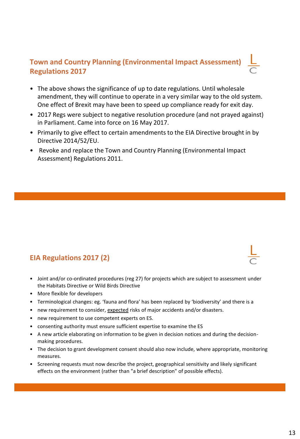## **Town and Country Planning (Environmental Impact Assessment) Regulations 2017**

- The above shows the significance of up to date regulations. Until wholesale amendment, they will continue to operate in a very similar way to the old system. One effect of Brexit may have been to speed up compliance ready for exit day.
- 2017 Regs were subject to negative resolution procedure (and not prayed against) in Parliament. Came into force on 16 May 2017.
- Primarily to give effect to certain amendments to the EIA Directive brought in by Directive 2014/52/EU.
- Revoke and replace the Town and Country Planning (Environmental Impact Assessment) Regulations 2011.

## **EIA Regulations 2017 (2)**

- Joint and/or co-ordinated procedures (reg 27) for projects which are subject to assessment under the Habitats Directive or Wild Birds Directive
- More flexible for developers
- Terminological changes: eg. 'fauna and flora' has been replaced by 'biodiversity' and there is a
- new requirement to consider, expected risks of major accidents and/or disasters.
- new requirement to use competent experts on ES.
- consenting authority must ensure sufficient expertise to examine the ES
- A new article elaborating on information to be given in decision notices and during the decisionmaking procedures.
- The decision to grant development consent should also now include, where appropriate, monitoring measures.
- Screening requests must now describe the project, geographical sensitivity and likely significant effects on the environment (rather than "a brief description" of possible effects).

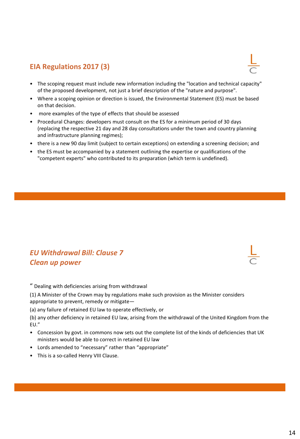## **EIA Regulations 2017 (3)**

- The scoping request must include new information including the "location and technical capacity" of the proposed development, not just a brief description of the "nature and purpose".
- Where a scoping opinion or direction is issued, the Environmental Statement (ES) must be based on that decision.
- more examples of the type of effects that should be assessed
- Procedural Changes: developers must consult on the ES for a minimum period of 30 days (replacing the respective 21 day and 28 day consultations under the town and country planning and infrastructure planning regimes);
- there is a new 90 day limit (subject to certain exceptions) on extending a screening decision; and
- the ES must be accompanied by a statement outlining the expertise or qualifications of the "competent experts" who contributed to its preparation (which term is undefined).

## *EU Withdrawal Bill: Clause 7 Clean up power*

" Dealing with deficiencies arising from withdrawal

(1) A Minister of the Crown may by regulations make such provision as the Minister considers appropriate to prevent, remedy or mitigate—

(a) any failure of retained EU law to operate effectively, or

(b) any other deficiency in retained EU law, arising from the withdrawal of the United Kingdom from the EU."

- Concession by govt. in commons now sets out the complete list of the kinds of deficiencies that UK ministers would be able to correct in retained EU law
- Lords amended to "necessary" rather than "appropriate"
- This is a so-called Henry VIII Clause.



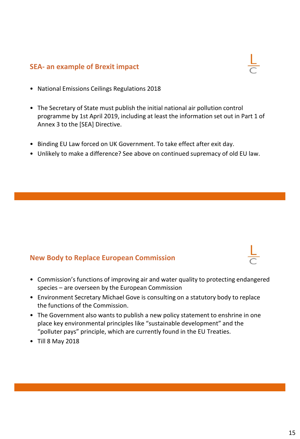### **SEA- an example of Brexit impact**



- National Emissions Ceilings Regulations 2018
- The Secretary of State must publish the initial national air pollution control programme by 1st April 2019, including at least the information set out in Part 1 of Annex 3 to the [SEA] Directive.
- Binding EU Law forced on UK Government. To take effect after exit day.
- Unlikely to make a difference? See above on continued supremacy of old EU law.

### **New Body to Replace European Commission**

- Commission's functions of improving air and water quality to protecting endangered species – are overseen by the European Commission
- Environment Secretary Michael Gove is consulting on a statutory body to replace the functions of the Commission.
- The Government also wants to publish a new policy statement to enshrine in one place key environmental principles like "sustainable development" and the "polluter pays" principle, which are currently found in the EU Treaties.
- Till 8 May 2018